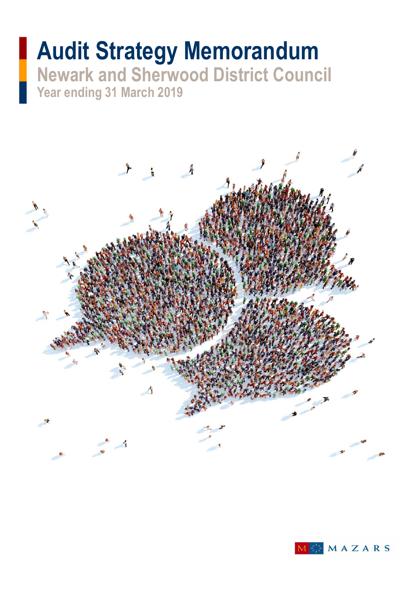# **Audit Strategy Memorandum Newark and Sherwood District Council Year ending 31 March 2019**

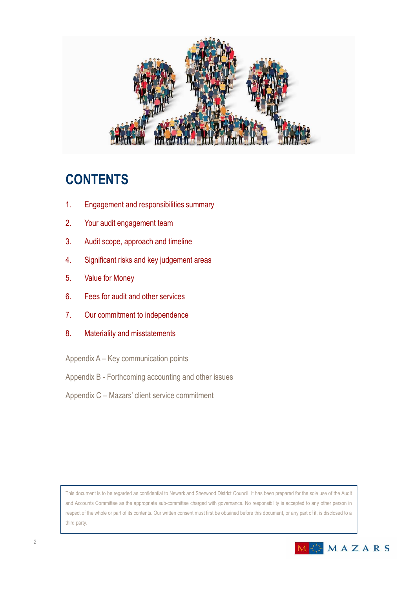

### **CONTENTS**

- 1. Engagement and responsibilities summary
- 2. Your audit engagement team
- 3. Audit scope, approach and timeline
- 4. Significant risks and key judgement areas
- 5. Value for Money
- 6. Fees for audit and other services
- 7. Our commitment to independence
- 8. Materiality and misstatements
- Appendix A Key communication points
- Appendix B Forthcoming accounting and other issues
- Appendix C Mazars' client service commitment

This document is to be regarded as confidential to Newark and Sherwood District Council. It has been prepared for the sole use of the Audit and Accounts Committee as the appropriate sub-committee charged with governance. No responsibility is accepted to any other person in respect of the whole or part of its contents. Our written consent must first be obtained before this document, or any part of it, is disclosed to a third party.

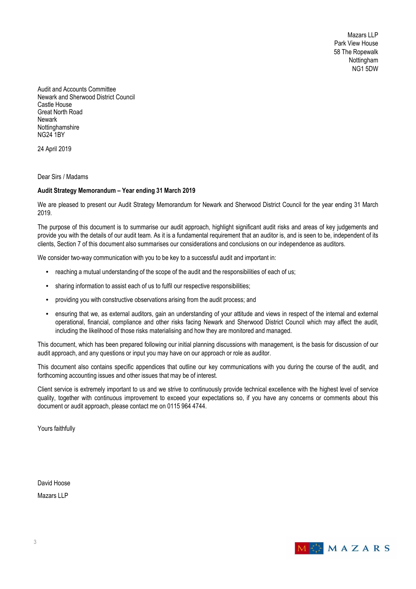Mazars LLP Park View House 58 The Ropewalk **Nottingham** NG1 5DW

Audit and Accounts Committee Newark and Sherwood District Council Castle House Great North Road Newark Nottinghamshire NG24 1BY

24 April 2019

Dear Sirs / Madams

#### **Audit Strategy Memorandum – Year ending 31 March 2019**

We are pleased to present our Audit Strategy Memorandum for Newark and Sherwood District Council for the year ending 31 March 2019.

The purpose of this document is to summarise our audit approach, highlight significant audit risks and areas of key judgements and provide you with the details of our audit team. As it is a fundamental requirement that an auditor is, and is seen to be, independent of its clients, Section 7 of this document also summarises our considerations and conclusions on our independence as auditors.

We consider two-way communication with you to be key to a successful audit and important in:

- reaching a mutual understanding of the scope of the audit and the responsibilities of each of us;
- sharing information to assist each of us to fulfil our respective responsibilities;
- providing you with constructive observations arising from the audit process; and
- ensuring that we, as external auditors, gain an understanding of your attitude and views in respect of the internal and external operational, financial, compliance and other risks facing Newark and Sherwood District Council which may affect the audit, including the likelihood of those risks materialising and how they are monitored and managed.

This document, which has been prepared following our initial planning discussions with management, is the basis for discussion of our audit approach, and any questions or input you may have on our approach or role as auditor.

This document also contains specific appendices that outline our key communications with you during the course of the audit, and forthcoming accounting issues and other issues that may be of interest.

Client service is extremely important to us and we strive to continuously provide technical excellence with the highest level of service quality, together with continuous improvement to exceed your expectations so, if you have any concerns or comments about this document or audit approach, please contact me on 0115 964 4744.

Yours faithfully

David Hoose

Mazars LLP

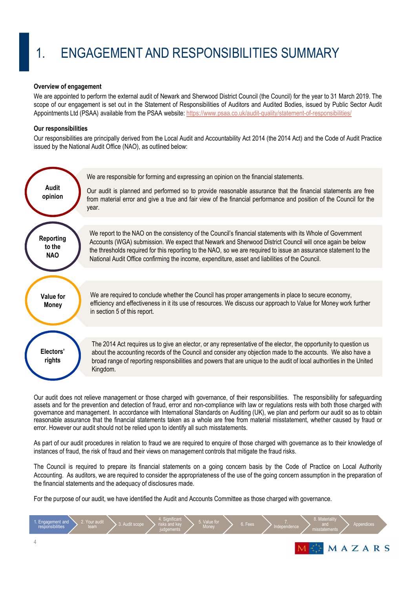# 1. ENGAGEMENT AND RESPONSIBILITIES SUMMARY

#### **Overview of engagement**

We are appointed to perform the external audit of Newark and Sherwood District Council (the Council) for the year to 31 March 2019. The scope of our engagement is set out in the Statement of Responsibilities of Auditors and Audited Bodies, issued by Public Sector Audit Appointments Ltd (PSAA) available from the PSAA website: https://www.psaa.co.uk/audit-quality/statement-of-responsibilities/

### **Our responsibilities**

Our responsibilities are principally derived from the Local Audit and Accountability Act 2014 (the 2014 Act) and the Code of Audit Practice issued by the National Audit Office (NAO), as outlined below:



Our audit does not relieve management or those charged with governance, of their responsibilities. The responsibility for safeguarding assets and for the prevention and detection of fraud, error and non-compliance with law or regulations rests with both those charged with governance and management. In accordance with International Standards on Auditing (UK), we plan and perform our audit so as to obtain reasonable assurance that the financial statements taken as a whole are free from material misstatement, whether caused by fraud or error. However our audit should not be relied upon to identify all such misstatements.

As part of our audit procedures in relation to fraud we are required to enquire of those charged with governance as to their knowledge of instances of fraud, the risk of fraud and their views on management controls that mitigate the fraud risks.

The Council is required to prepare its financial statements on a going concern basis by the Code of Practice on Local Authority Accounting. As auditors, we are required to consider the appropriateness of the use of the going concern assumption in the preparation of the financial statements and the adequacy of disclosures made.

For the purpose of our audit, we have identified the Audit and Accounts Committee as those charged with governance.

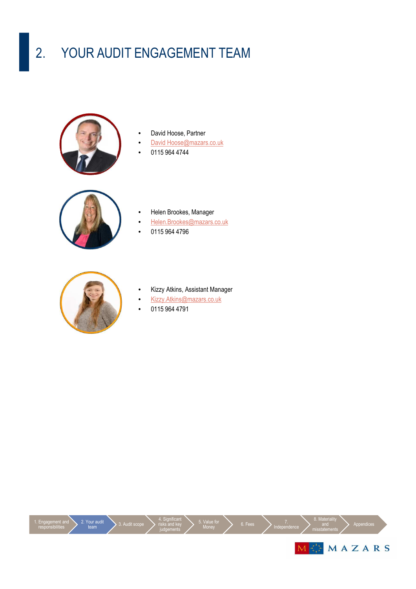# 2. YOUR AUDIT ENGAGEMENT TEAM



- David Hoose, Partner
- David Hoose@mazars.co.uk
- 0115 964 4744



- Helen Brookes, Manager
- Helen.Brookes@mazars.co.uk
- 0115 964 4796



- Kizzy Atkins, Assistant Manager
- Kizzy.Atkins@mazars.co.uk
- 0115 964 4791

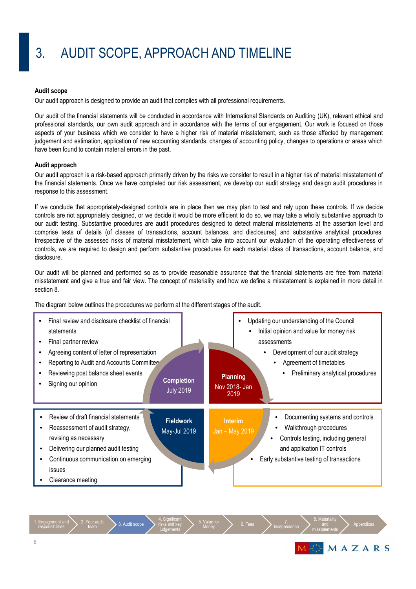# 3. AUDIT SCOPE, APPROACH AND TIMELINE

#### **Audit scope**

Our audit approach is designed to provide an audit that complies with all professional requirements.

Our audit of the financial statements will be conducted in accordance with International Standards on Auditing (UK), relevant ethical and professional standards, our own audit approach and in accordance with the terms of our engagement. Our work is focused on those aspects of your business which we consider to have a higher risk of material misstatement, such as those affected by management judgement and estimation, application of new accounting standards, changes of accounting policy, changes to operations or areas which have been found to contain material errors in the past.

#### **Audit approach**

Our audit approach is a risk-based approach primarily driven by the risks we consider to result in a higher risk of material misstatement of the financial statements. Once we have completed our risk assessment, we develop our audit strategy and design audit procedures in response to this assessment.

If we conclude that appropriately-designed controls are in place then we may plan to test and rely upon these controls. If we decide controls are not appropriately designed, or we decide it would be more efficient to do so, we may take a wholly substantive approach to our audit testing. Substantive procedures are audit procedures designed to detect material misstatements at the assertion level and comprise tests of details (of classes of transactions, account balances, and disclosures) and substantive analytical procedures. Irrespective of the assessed risks of material misstatement, which take into account our evaluation of the operating effectiveness of controls, we are required to design and perform substantive procedures for each material class of transactions, account balance, and disclosure.

Our audit will be planned and performed so as to provide reasonable assurance that the financial statements are free from material misstatement and give a true and fair view. The concept of materiality and how we define a misstatement is explained in more detail in section 8.

The diagram below outlines the procedures we perform at the different stages of the audit.



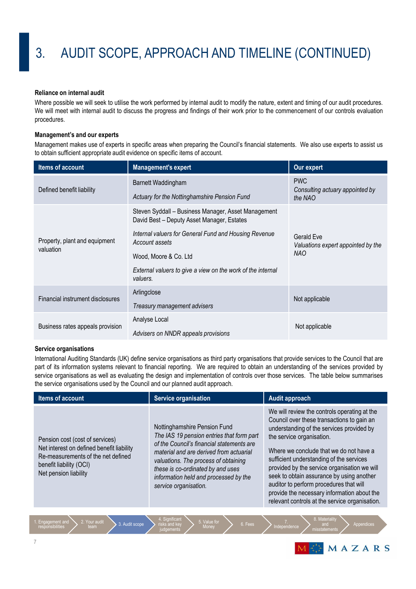#### **Reliance on internal audit**

Where possible we will seek to utilise the work performed by internal audit to modify the nature, extent and timing of our audit procedures. We will meet with internal audit to discuss the progress and findings of their work prior to the commencement of our controls evaluation procedures.

#### **Management's and our experts**

Management makes use of experts in specific areas when preparing the Council's financial statements. We also use experts to assist us to obtain sufficient appropriate audit evidence on specific items of account.

| Items of account                           | <b>Management's expert</b>                                                                                                                                                                                                                                                        | Our expert                                                     |
|--------------------------------------------|-----------------------------------------------------------------------------------------------------------------------------------------------------------------------------------------------------------------------------------------------------------------------------------|----------------------------------------------------------------|
| Defined benefit liability                  | Barnett Waddingham<br>Actuary for the Nottinghamshire Pension Fund                                                                                                                                                                                                                | <b>PWC</b><br>Consulting actuary appointed by<br>the NAO       |
| Property, plant and equipment<br>valuation | Steven Syddall - Business Manager, Asset Management<br>David Best - Deputy Asset Manager, Estates<br>Internal valuers for General Fund and Housing Revenue<br>Account assets<br>Wood, Moore & Co. Ltd.<br>External valuers to give a view on the work of the internal<br>valuers. | Gerald Eve<br>Valuations expert appointed by the<br><b>NAO</b> |
| Financial instrument disclosures           | Arlingclose<br>Treasury management advisers                                                                                                                                                                                                                                       | Not applicable                                                 |
| Business rates appeals provision           | Analyse Local<br>Advisers on NNDR appeals provisions                                                                                                                                                                                                                              | Not applicable                                                 |

#### **Service organisations**

International Auditing Standards (UK) define service organisations as third party organisations that provide services to the Council that are part of its information systems relevant to financial reporting. We are required to obtain an understanding of the services provided by service organisations as well as evaluating the design and implementation of controls over those services. The table below summarises the service organisations used by the Council and our planned audit approach.

| Items of account                                                                                                                                                       | <b>Service organisation</b>                                                                                                                                                                                                                                                                                      | <b>Audit approach</b>                                                                                                                                                                                                                                                                                                                                                                                                                                                                                |
|------------------------------------------------------------------------------------------------------------------------------------------------------------------------|------------------------------------------------------------------------------------------------------------------------------------------------------------------------------------------------------------------------------------------------------------------------------------------------------------------|------------------------------------------------------------------------------------------------------------------------------------------------------------------------------------------------------------------------------------------------------------------------------------------------------------------------------------------------------------------------------------------------------------------------------------------------------------------------------------------------------|
| Pension cost (cost of services)<br>Net interest on defined benefit liability<br>Re-measurements of the net defined<br>benefit liability (OCI)<br>Net pension liability | Nottinghamshire Pension Fund<br>The IAS 19 pension entries that form part<br>of the Council's financial statements are<br>material and are derived from actuarial<br>valuations. The process of obtaining<br>these is co-ordinated by and uses<br>information held and processed by the<br>service organisation. | We will review the controls operating at the<br>Council over these transactions to gain an<br>understanding of the services provided by<br>the service organisation.<br>Where we conclude that we do not have a<br>sufficient understanding of the services<br>provided by the service organisation we will<br>seek to obtain assurance by using another<br>auditor to perform procedures that will<br>provide the necessary information about the<br>relevant controls at the service organisation. |
| 2. Your audit<br>Engagement and                                                                                                                                        | 4. Significant<br>5. Value for                                                                                                                                                                                                                                                                                   | 8. Materiality                                                                                                                                                                                                                                                                                                                                                                                                                                                                                       |
| 3. Audit scope<br>responsibilities<br>team                                                                                                                             | 6. Fees<br>risks and key<br>Money<br>udananta                                                                                                                                                                                                                                                                    | Appendices<br>and<br>Independence<br>migatatamanta                                                                                                                                                                                                                                                                                                                                                                                                                                                   |

judgements

EMAZARS

misstatements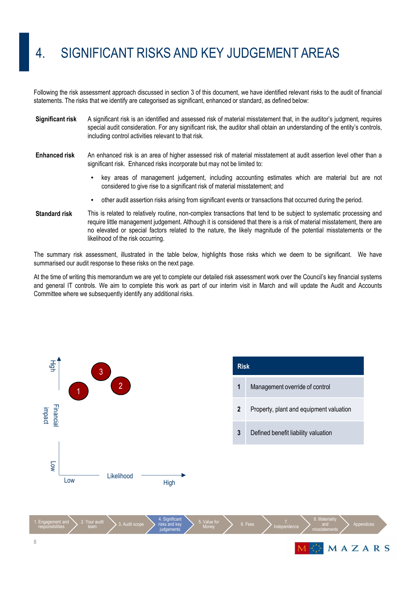## 4. SIGNIFICANT RISKS AND KEY JUDGEMENT AREAS

Following the risk assessment approach discussed in section 3 of this document, we have identified relevant risks to the audit of financial statements. The risks that we identify are categorised as significant, enhanced or standard, as defined below:

- **Significant risk** A significant risk is an identified and assessed risk of material misstatement that, in the auditor's judgment, requires special audit consideration. For any significant risk, the auditor shall obtain an understanding of the entity's controls, including control activities relevant to that risk.
- **Enhanced risk** An enhanced risk is an area of higher assessed risk of material misstatement at audit assertion level other than a significant risk. Enhanced risks incorporate but may not be limited to:
	- key areas of management judgement, including accounting estimates which are material but are not considered to give rise to a significant risk of material misstatement; and
	- other audit assertion risks arising from significant events or transactions that occurred during the period.
- **Standard risk** This is related to relatively routine, non-complex transactions that tend to be subject to systematic processing and require little management judgement. Although it is considered that there is a risk of material misstatement, there are no elevated or special factors related to the nature, the likely magnitude of the potential misstatements or the likelihood of the risk occurring.

The summary risk assessment, illustrated in the table below, highlights those risks which we deem to be significant. We have summarised our audit response to these risks on the next page.

At the time of writing this memorandum we are yet to complete our detailed risk assessment work over the Council's key financial systems and general IT controls. We aim to complete this work as part of our interim visit in March and will update the Audit and Accounts Committee where we subsequently identify any additional risks.

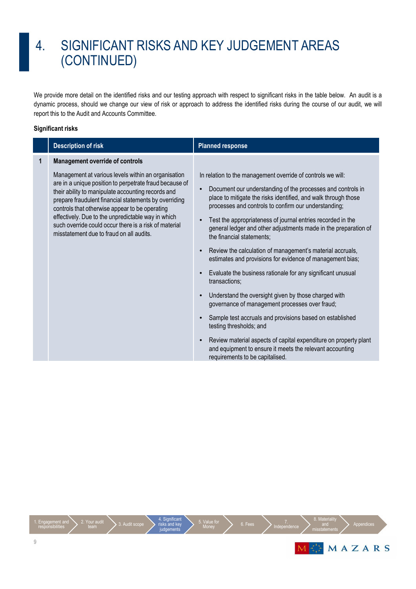### 4. SIGNIFICANT RISKS AND KEY JUDGEMENT AREAS (CONTINUED)

We provide more detail on the identified risks and our testing approach with respect to significant risks in the table below. An audit is a dynamic process, should we change our view of risk or approach to address the identified risks during the course of our audit, we will report this to the Audit and Accounts Committee.

### **Significant risks**

|   | <b>Description of risk</b>                                                                                                                                                                                                                                                                                                                                                                                                                                                           | <b>Planned response</b>                                                                                                                                                                                                                                                                                                                                                                                                                                                                                                                       |
|---|--------------------------------------------------------------------------------------------------------------------------------------------------------------------------------------------------------------------------------------------------------------------------------------------------------------------------------------------------------------------------------------------------------------------------------------------------------------------------------------|-----------------------------------------------------------------------------------------------------------------------------------------------------------------------------------------------------------------------------------------------------------------------------------------------------------------------------------------------------------------------------------------------------------------------------------------------------------------------------------------------------------------------------------------------|
| 1 | <b>Management override of controls</b><br>Management at various levels within an organisation<br>are in a unique position to perpetrate fraud because of<br>their ability to manipulate accounting records and<br>prepare fraudulent financial statements by overriding<br>controls that otherwise appear to be operating<br>effectively. Due to the unpredictable way in which<br>such override could occur there is a risk of material<br>misstatement due to fraud on all audits. | In relation to the management override of controls we will:<br>Document our understanding of the processes and controls in<br>place to mitigate the risks identified, and walk through those<br>processes and controls to confirm our understanding;<br>Test the appropriateness of journal entries recorded in the<br>general ledger and other adjustments made in the preparation of<br>the financial statements;<br>Review the calculation of management's material accruals,<br>estimates and provisions for evidence of management bias; |
|   |                                                                                                                                                                                                                                                                                                                                                                                                                                                                                      | Evaluate the business rationale for any significant unusual<br>transactions:                                                                                                                                                                                                                                                                                                                                                                                                                                                                  |
|   |                                                                                                                                                                                                                                                                                                                                                                                                                                                                                      | Understand the oversight given by those charged with<br>governance of management processes over fraud;                                                                                                                                                                                                                                                                                                                                                                                                                                        |
|   |                                                                                                                                                                                                                                                                                                                                                                                                                                                                                      | Sample test accruals and provisions based on established<br>testing thresholds; and                                                                                                                                                                                                                                                                                                                                                                                                                                                           |
|   |                                                                                                                                                                                                                                                                                                                                                                                                                                                                                      | Review material aspects of capital expenditure on property plant<br>and equipment to ensure it meets the relevant accounting<br>requirements to be capitalised.                                                                                                                                                                                                                                                                                                                                                                               |

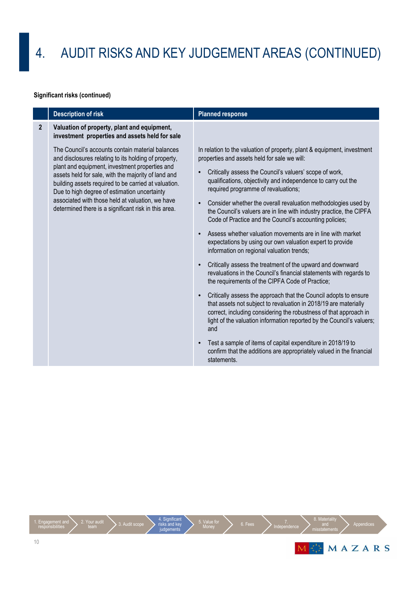### **Significant risks (continued)**

|                | <b>Description of risk</b>                                                                                                                                                                                                                                                                                                                                                                                                            | <b>Planned response</b>                                                                                                                                                                                                                                                                                                                                                                                                                                                                                                                                                                                                                                                                                                                           |
|----------------|---------------------------------------------------------------------------------------------------------------------------------------------------------------------------------------------------------------------------------------------------------------------------------------------------------------------------------------------------------------------------------------------------------------------------------------|---------------------------------------------------------------------------------------------------------------------------------------------------------------------------------------------------------------------------------------------------------------------------------------------------------------------------------------------------------------------------------------------------------------------------------------------------------------------------------------------------------------------------------------------------------------------------------------------------------------------------------------------------------------------------------------------------------------------------------------------------|
| $\overline{2}$ | Valuation of property, plant and equipment,<br>investment properties and assets held for sale                                                                                                                                                                                                                                                                                                                                         |                                                                                                                                                                                                                                                                                                                                                                                                                                                                                                                                                                                                                                                                                                                                                   |
|                | The Council's accounts contain material balances<br>and disclosures relating to its holding of property,<br>plant and equipment, investment properties and<br>assets held for sale, with the majority of land and<br>building assets required to be carried at valuation.<br>Due to high degree of estimation uncertainty<br>associated with those held at valuation, we have<br>determined there is a significant risk in this area. | In relation to the valuation of property, plant & equipment, investment<br>properties and assets held for sale we will:<br>Critically assess the Council's valuers' scope of work,<br>qualifications, objectivity and independence to carry out the<br>required programme of revaluations;<br>Consider whether the overall revaluation methodologies used by<br>the Council's valuers are in line with industry practice, the CIPFA<br>Code of Practice and the Council's accounting policies;<br>Assess whether valuation movements are in line with market<br>expectations by using our own valuation expert to provide<br>information on regional valuation trends;<br>Critically assess the treatment of the upward and downward<br>$\bullet$ |
|                |                                                                                                                                                                                                                                                                                                                                                                                                                                       | revaluations in the Council's financial statements with regards to<br>the requirements of the CIPFA Code of Practice;                                                                                                                                                                                                                                                                                                                                                                                                                                                                                                                                                                                                                             |
|                |                                                                                                                                                                                                                                                                                                                                                                                                                                       | Critically assess the approach that the Council adopts to ensure<br>that assets not subject to revaluation in 2018/19 are materially<br>correct, including considering the robustness of that approach in<br>light of the valuation information reported by the Council's valuers;<br>and                                                                                                                                                                                                                                                                                                                                                                                                                                                         |
|                |                                                                                                                                                                                                                                                                                                                                                                                                                                       | Test a sample of items of capital expenditure in 2018/19 to<br>confirm that the additions are appropriately valued in the financial<br>statements.                                                                                                                                                                                                                                                                                                                                                                                                                                                                                                                                                                                                |

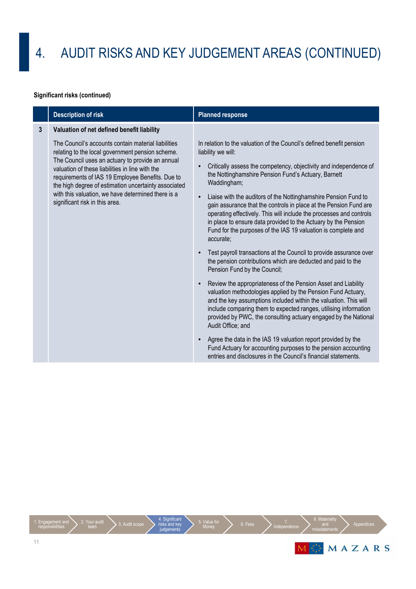### **Significant risks (continued)**

|              | <b>Description of risk</b>                                                                                                                                                                                                                                                                                                                                                                                         | <b>Planned response</b>                                                                                                                                                                                                                                                                                                                                                                                                                                                                                                                                                                                                                                                                                                                                                                                                                                                                                                                                                                                                                                                                                                                                                                                                                                                                                                                           |
|--------------|--------------------------------------------------------------------------------------------------------------------------------------------------------------------------------------------------------------------------------------------------------------------------------------------------------------------------------------------------------------------------------------------------------------------|---------------------------------------------------------------------------------------------------------------------------------------------------------------------------------------------------------------------------------------------------------------------------------------------------------------------------------------------------------------------------------------------------------------------------------------------------------------------------------------------------------------------------------------------------------------------------------------------------------------------------------------------------------------------------------------------------------------------------------------------------------------------------------------------------------------------------------------------------------------------------------------------------------------------------------------------------------------------------------------------------------------------------------------------------------------------------------------------------------------------------------------------------------------------------------------------------------------------------------------------------------------------------------------------------------------------------------------------------|
| $\mathbf{3}$ | Valuation of net defined benefit liability                                                                                                                                                                                                                                                                                                                                                                         |                                                                                                                                                                                                                                                                                                                                                                                                                                                                                                                                                                                                                                                                                                                                                                                                                                                                                                                                                                                                                                                                                                                                                                                                                                                                                                                                                   |
|              | The Council's accounts contain material liabilities<br>relating to the local government pension scheme.<br>The Council uses an actuary to provide an annual<br>valuation of these liabilities in line with the<br>requirements of IAS 19 Employee Benefits. Due to<br>the high degree of estimation uncertainty associated<br>with this valuation, we have determined there is a<br>significant risk in this area. | In relation to the valuation of the Council's defined benefit pension<br>liability we will:<br>Critically assess the competency, objectivity and independence of<br>the Nottinghamshire Pension Fund's Actuary, Barnett<br>Waddingham;<br>Liaise with the auditors of the Nottinghamshire Pension Fund to<br>gain assurance that the controls in place at the Pension Fund are<br>operating effectively. This will include the processes and controls<br>in place to ensure data provided to the Actuary by the Pension<br>Fund for the purposes of the IAS 19 valuation is complete and<br>accurate;<br>Test payroll transactions at the Council to provide assurance over<br>the pension contributions which are deducted and paid to the<br>Pension Fund by the Council;<br>Review the appropriateness of the Pension Asset and Liability<br>valuation methodologies applied by the Pension Fund Actuary,<br>and the key assumptions included within the valuation. This will<br>include comparing them to expected ranges, utilising information<br>provided by PWC, the consulting actuary engaged by the National<br>Audit Office; and<br>Agree the data in the IAS 19 valuation report provided by the<br>Fund Actuary for accounting purposes to the pension accounting<br>entries and disclosures in the Council's financial statements. |

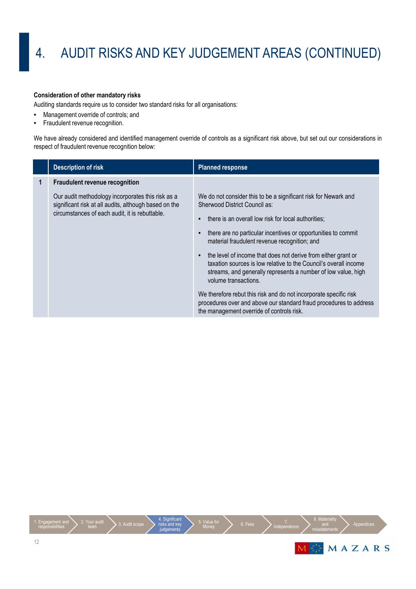### **Consideration of other mandatory risks**

Auditing standards require us to consider two standard risks for all organisations:

- Management override of controls; and
- Fraudulent revenue recognition.

We have already considered and identified management override of controls as a significant risk above, but set out our considerations in respect of fraudulent revenue recognition below:

|   | <b>Description of risk</b>                                                                                                                                   | <b>Planned response</b>                                                                                                                                                                                                                                                                                                                                                                                                                                                                                                                                                                                                                                                                        |
|---|--------------------------------------------------------------------------------------------------------------------------------------------------------------|------------------------------------------------------------------------------------------------------------------------------------------------------------------------------------------------------------------------------------------------------------------------------------------------------------------------------------------------------------------------------------------------------------------------------------------------------------------------------------------------------------------------------------------------------------------------------------------------------------------------------------------------------------------------------------------------|
| 1 | <b>Fraudulent revenue recognition</b>                                                                                                                        |                                                                                                                                                                                                                                                                                                                                                                                                                                                                                                                                                                                                                                                                                                |
|   | Our audit methodology incorporates this risk as a<br>significant risk at all audits, although based on the<br>circumstances of each audit, it is rebuttable. | We do not consider this to be a significant risk for Newark and<br>Sherwood District Council as:<br>there is an overall low risk for local authorities;<br>there are no particular incentives or opportunities to commit<br>material fraudulent revenue recognition; and<br>the level of income that does not derive from either grant or<br>taxation sources is low relative to the Council's overall income<br>streams, and generally represents a number of low value, high<br>volume transactions.<br>We therefore rebut this risk and do not incorporate specific risk<br>procedures over and above our standard fraud procedures to address<br>the management override of controls risk. |

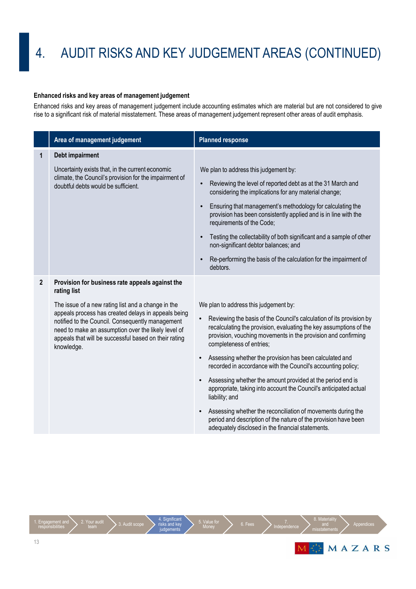### **Enhanced risks and key areas of management judgement**

Enhanced risks and key areas of management judgement include accounting estimates which are material but are not considered to give rise to a significant risk of material misstatement. These areas of management judgement represent other areas of audit emphasis.

|                | Area of management judgement                                                                                                                                                                                                          | <b>Planned response</b>                                                                                                                                                                                                                 |
|----------------|---------------------------------------------------------------------------------------------------------------------------------------------------------------------------------------------------------------------------------------|-----------------------------------------------------------------------------------------------------------------------------------------------------------------------------------------------------------------------------------------|
| 1              | Debt impairment                                                                                                                                                                                                                       |                                                                                                                                                                                                                                         |
|                | Uncertainty exists that, in the current economic<br>climate, the Council's provision for the impairment of<br>doubtful debts would be sufficient.                                                                                     | We plan to address this judgement by:                                                                                                                                                                                                   |
|                |                                                                                                                                                                                                                                       | Reviewing the level of reported debt as at the 31 March and<br>considering the implications for any material change;                                                                                                                    |
|                |                                                                                                                                                                                                                                       | Ensuring that management's methodology for calculating the<br>provision has been consistently applied and is in line with the<br>requirements of the Code;                                                                              |
|                |                                                                                                                                                                                                                                       | Testing the collectability of both significant and a sample of other<br>non-significant debtor balances; and                                                                                                                            |
|                |                                                                                                                                                                                                                                       | Re-performing the basis of the calculation for the impairment of<br>debtors.                                                                                                                                                            |
| $\overline{2}$ | Provision for business rate appeals against the<br>rating list                                                                                                                                                                        |                                                                                                                                                                                                                                         |
|                | The issue of a new rating list and a change in the                                                                                                                                                                                    | We plan to address this judgement by:                                                                                                                                                                                                   |
|                | appeals process has created delays in appeals being<br>notified to the Council. Consequently management<br>need to make an assumption over the likely level of<br>appeals that will be successful based on their rating<br>knowledge. | Reviewing the basis of the Council's calculation of its provision by<br>recalculating the provision, evaluating the key assumptions of the<br>provision, vouching movements in the provision and confirming<br>completeness of entries; |
|                |                                                                                                                                                                                                                                       | Assessing whether the provision has been calculated and<br>recorded in accordance with the Council's accounting policy;                                                                                                                 |
|                |                                                                                                                                                                                                                                       | Assessing whether the amount provided at the period end is<br>appropriate, taking into account the Council's anticipated actual<br>liability; and                                                                                       |
|                |                                                                                                                                                                                                                                       | Assessing whether the reconciliation of movements during the<br>period and description of the nature of the provision have been<br>adequately disclosed in the financial statements.                                                    |

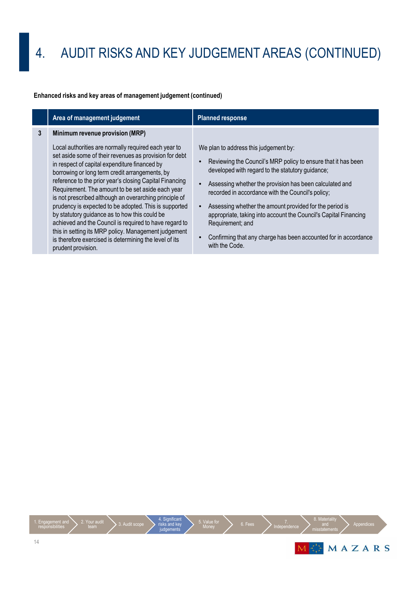### **Enhanced risks and key areas of management judgement (continued)**

|   | Area of management judgement                                                                                                                                                                                                                                                                                                                                                                                                                                                                                                                                                                                                                                                                                                               | <b>Planned response</b>                                                                                                                                                                                                                                                                                                                                                                                                                                                                                            |
|---|--------------------------------------------------------------------------------------------------------------------------------------------------------------------------------------------------------------------------------------------------------------------------------------------------------------------------------------------------------------------------------------------------------------------------------------------------------------------------------------------------------------------------------------------------------------------------------------------------------------------------------------------------------------------------------------------------------------------------------------------|--------------------------------------------------------------------------------------------------------------------------------------------------------------------------------------------------------------------------------------------------------------------------------------------------------------------------------------------------------------------------------------------------------------------------------------------------------------------------------------------------------------------|
| 3 | Minimum revenue provision (MRP)<br>Local authorities are normally required each year to<br>set aside some of their revenues as provision for debt<br>in respect of capital expenditure financed by<br>borrowing or long term credit arrangements, by<br>reference to the prior year's closing Capital Financing<br>Requirement. The amount to be set aside each year<br>is not prescribed although an overarching principle of<br>prudency is expected to be adopted. This is supported<br>by statutory guidance as to how this could be<br>achieved and the Council is required to have regard to<br>this in setting its MRP policy. Management judgement<br>is therefore exercised is determining the level of its<br>prudent provision. | We plan to address this judgement by:<br>Reviewing the Council's MRP policy to ensure that it has been<br>developed with regard to the statutory guidance;<br>Assessing whether the provision has been calculated and<br>recorded in accordance with the Council's policy;<br>Assessing whether the amount provided for the period is<br>appropriate, taking into account the Council's Capital Financing<br>Requirement; and<br>Confirming that any charge has been accounted for in accordance<br>with the Code. |

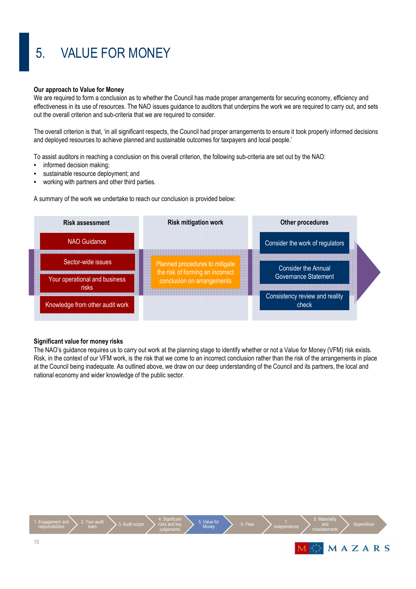# 5. VALUE FOR MONEY

#### **Our approach to Value for Money**

We are required to form a conclusion as to whether the Council has made proper arrangements for securing economy, efficiency and effectiveness in its use of resources. The NAO issues guidance to auditors that underpins the work we are required to carry out, and sets out the overall criterion and sub-criteria that we are required to consider.

The overall criterion is that, 'in all significant respects, the Council had proper arrangements to ensure it took properly informed decisions and deployed resources to achieve planned and sustainable outcomes for taxpayers and local people.'

To assist auditors in reaching a conclusion on this overall criterion, the following sub-criteria are set out by the NAO:

- informed decision making:
- sustainable resource deployment; and
- working with partners and other third parties.

A summary of the work we undertake to reach our conclusion is provided below:

| <b>Risk assessment</b>                 | <b>Other procedures</b><br><b>Risk mitigation work</b> |                                                                |                                         |  |
|----------------------------------------|--------------------------------------------------------|----------------------------------------------------------------|-----------------------------------------|--|
| NAO Guidance                           |                                                        |                                                                | Consider the work of regulators         |  |
| Sector-wide issues                     |                                                        | Planned procedures to mitigate                                 | <b>Consider the Annual</b>              |  |
| Your operational and business<br>risks |                                                        | the risk of forming an incorrect<br>conclusion on arrangements | Governance Statement                    |  |
| Knowledge from other audit work        |                                                        |                                                                | Consistency review and reality<br>check |  |

#### **Significant value for money risks**

The NAO's guidance requires us to carry out work at the planning stage to identify whether or not a Value for Money (VFM) risk exists. Risk, in the context of our VFM work, is the risk that we come to an incorrect conclusion rather than the risk of the arrangements in place at the Council being inadequate. As outlined above, we draw on our deep understanding of the Council and its partners, the local and national economy and wider knowledge of the public sector.

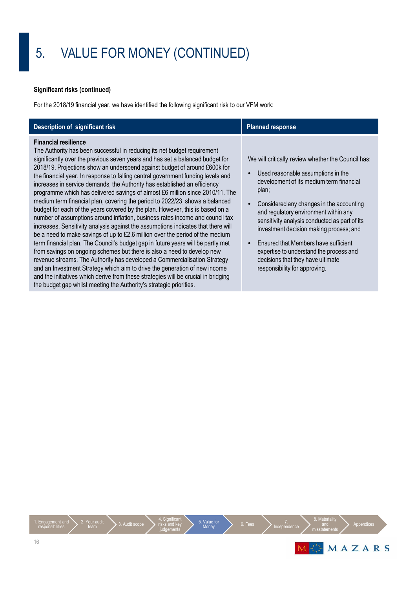## 5. VALUE FOR MONEY (CONTINUED)

### **Significant risks (continued)**

For the 2018/19 financial year, we have identified the following significant risk to our VFM work:

| Description of significant risk                                                                                                                                                                                                                                                                                                                                                                                                                                                                                                                                                                                                                                                                                                                                                                                                                                                                                                                                                                                                                                                                                                                                                                                                                                                                                                                                                                                                         | <b>Planned response</b>                                                                                                                                                                                                                                                                                                                                                                                                                                                                 |
|-----------------------------------------------------------------------------------------------------------------------------------------------------------------------------------------------------------------------------------------------------------------------------------------------------------------------------------------------------------------------------------------------------------------------------------------------------------------------------------------------------------------------------------------------------------------------------------------------------------------------------------------------------------------------------------------------------------------------------------------------------------------------------------------------------------------------------------------------------------------------------------------------------------------------------------------------------------------------------------------------------------------------------------------------------------------------------------------------------------------------------------------------------------------------------------------------------------------------------------------------------------------------------------------------------------------------------------------------------------------------------------------------------------------------------------------|-----------------------------------------------------------------------------------------------------------------------------------------------------------------------------------------------------------------------------------------------------------------------------------------------------------------------------------------------------------------------------------------------------------------------------------------------------------------------------------------|
| <b>Financial resilience</b><br>The Authority has been successful in reducing its net budget requirement<br>significantly over the previous seven years and has set a balanced budget for<br>2018/19. Projections show an underspend against budget of around £600k for<br>the financial year. In response to falling central government funding levels and<br>increases in service demands, the Authority has established an efficiency<br>programme which has delivered savings of almost £6 million since 2010/11. The<br>medium term financial plan, covering the period to 2022/23, shows a balanced<br>budget for each of the years covered by the plan. However, this is based on a<br>number of assumptions around inflation, business rates income and council tax<br>increases. Sensitivity analysis against the assumptions indicates that there will<br>be a need to make savings of up to £2.6 million over the period of the medium<br>term financial plan. The Council's budget gap in future years will be partly met<br>from savings on ongoing schemes but there is also a need to develop new<br>revenue streams. The Authority has developed a Commercialisation Strategy<br>and an Investment Strategy which aim to drive the generation of new income<br>and the initiatives which derive from these strategies will be crucial in bridging<br>the budget gap whilst meeting the Authority's strategic priorities. | We will critically review whether the Council has:<br>Used reasonable assumptions in the<br>development of its medium term financial<br>plan;<br>Considered any changes in the accounting<br>and regulatory environment within any<br>sensitivity analysis conducted as part of its<br>investment decision making process; and<br>Ensured that Members have sufficient<br>expertise to understand the process and<br>decisions that they have ultimate<br>responsibility for approving. |

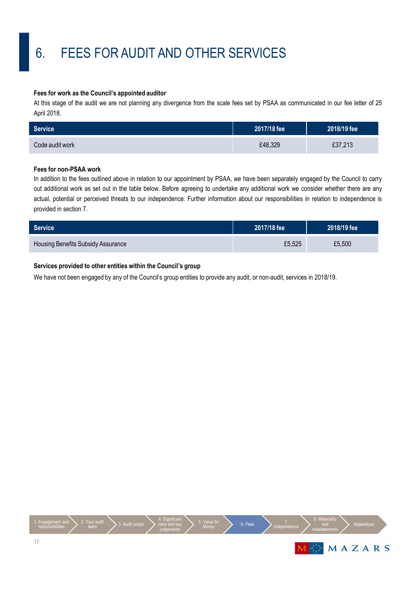# 6. FEES FOR AUDIT AND OTHER SERVICES

#### **Fees for work as the Council's appointed auditor**

At this stage of the audit we are not planning any divergence from the scale fees set by PSAA as communicated in our fee letter of 25 April 2018.

| Service <sup>1</sup> | 2017/18 fee | 2018/19 fee |
|----------------------|-------------|-------------|
| Code audit work      | £48,329     | £37,213     |

### **Fees for non-PSAA work**

In addition to the fees outlined above in relation to our appointment by PSAA, we have been separately engaged by the Council to carry out additional work as set out in the table below. Before agreeing to undertake any additional work we consider whether there are any actual, potential or perceived threats to our independence. Further information about our responsibilities in relation to independence is provided in section 7.

| Service                            | 2017/18 fee | 2018/19 fee |
|------------------------------------|-------------|-------------|
| Housing Benefits Subsidy Assurance | £5,525      | £5,500      |

### **Services provided to other entities within the Council's group**

We have not been engaged by any of the Council's group entities to provide any audit, or non-audit, services in 2018/19.

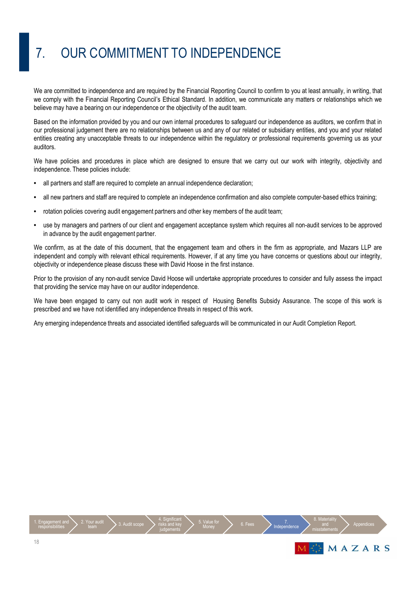# 7. OUR COMMITMENT TO INDEPENDENCE

We are committed to independence and are required by the Financial Reporting Council to confirm to you at least annually, in writing, that we comply with the Financial Reporting Council's Ethical Standard. In addition, we communicate any matters or relationships which we believe may have a bearing on our independence or the objectivity of the audit team.

Based on the information provided by you and our own internal procedures to safeguard our independence as auditors, we confirm that in our professional judgement there are no relationships between us and any of our related or subsidiary entities, and you and your related entities creating any unacceptable threats to our independence within the regulatory or professional requirements governing us as your auditors.

We have policies and procedures in place which are designed to ensure that we carry out our work with integrity, objectivity and independence. These policies include:

- all partners and staff are required to complete an annual independence declaration;
- all new partners and staff are required to complete an independence confirmation and also complete computer-based ethics training;
- rotation policies covering audit engagement partners and other key members of the audit team;
- use by managers and partners of our client and engagement acceptance system which requires all non-audit services to be approved in advance by the audit engagement partner.

We confirm, as at the date of this document, that the engagement team and others in the firm as appropriate, and Mazars LLP are independent and comply with relevant ethical requirements. However, if at any time you have concerns or questions about our integrity, objectivity or independence please discuss these with David Hoose in the first instance.

Prior to the provision of any non-audit service David Hoose will undertake appropriate procedures to consider and fully assess the impact that providing the service may have on our auditor independence.

We have been engaged to carry out non audit work in respect of Housing Benefits Subsidy Assurance. The scope of this work is prescribed and we have not identified any independence threats in respect of this work.

Any emerging independence threats and associated identified safeguards will be communicated in our Audit Completion Report.

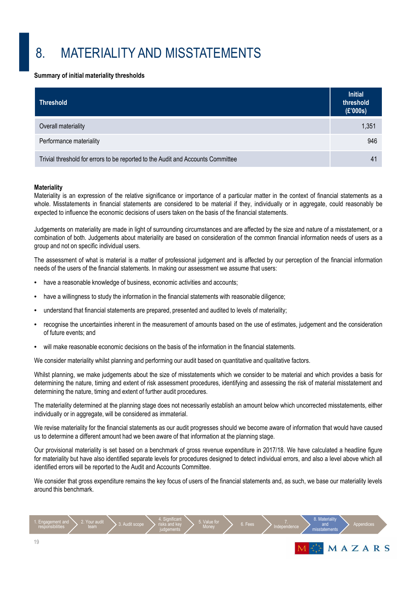## 8. MATERIALITY AND MISSTATEMENTS

#### **Summary of initial materiality thresholds**

| <b>Threshold</b>                                                                | <b>Initial</b><br>threshold<br>(E'000s) |
|---------------------------------------------------------------------------------|-----------------------------------------|
| Overall materiality                                                             | 1,351                                   |
| Performance materiality                                                         | 946                                     |
| Trivial threshold for errors to be reported to the Audit and Accounts Committee | 4 <sup>1</sup>                          |

#### **Materiality**

Materiality is an expression of the relative significance or importance of a particular matter in the context of financial statements as a whole. Misstatements in financial statements are considered to be material if they, individually or in aggregate, could reasonably be expected to influence the economic decisions of users taken on the basis of the financial statements.

Judgements on materiality are made in light of surrounding circumstances and are affected by the size and nature of a misstatement, or a combination of both. Judgements about materiality are based on consideration of the common financial information needs of users as a group and not on specific individual users.

The assessment of what is material is a matter of professional judgement and is affected by our perception of the financial information needs of the users of the financial statements. In making our assessment we assume that users:

- have a reasonable knowledge of business, economic activities and accounts;
- have a willingness to study the information in the financial statements with reasonable diligence;
- understand that financial statements are prepared, presented and audited to levels of materiality;
- recognise the uncertainties inherent in the measurement of amounts based on the use of estimates, judgement and the consideration of future events; and
- will make reasonable economic decisions on the basis of the information in the financial statements.

We consider materiality whilst planning and performing our audit based on quantitative and qualitative factors.

Whilst planning, we make judgements about the size of misstatements which we consider to be material and which provides a basis for determining the nature, timing and extent of risk assessment procedures, identifying and assessing the risk of material misstatement and determining the nature, timing and extent of further audit procedures.

The materiality determined at the planning stage does not necessarily establish an amount below which uncorrected misstatements, either individually or in aggregate, will be considered as immaterial.

We revise materiality for the financial statements as our audit progresses should we become aware of information that would have caused us to determine a different amount had we been aware of that information at the planning stage.

Our provisional materiality is set based on a benchmark of gross revenue expenditure in 2017/18. We have calculated a headline figure for materiality but have also identified separate levels for procedures designed to detect individual errors, and also a level above which all identified errors will be reported to the Audit and Accounts Committee.

We consider that gross expenditure remains the key focus of users of the financial statements and, as such, we base our materiality levels around this benchmark.

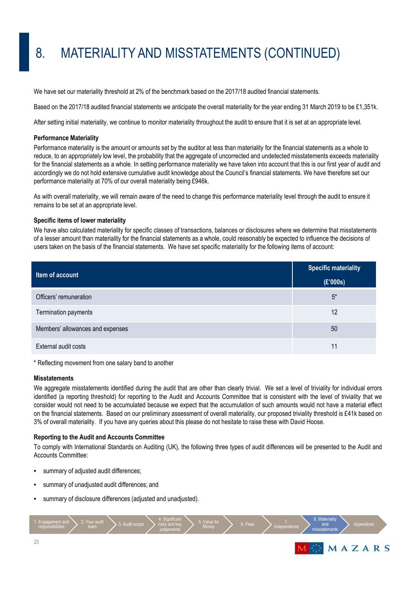# 8. MATERIALITY AND MISSTATEMENTS (CONTINUED)

We have set our materiality threshold at 2% of the benchmark based on the 2017/18 audited financial statements.

Based on the 2017/18 audited financial statements we anticipate the overall materiality for the year ending 31 March 2019 to be £1,351k.

After setting initial materiality, we continue to monitor materiality throughout the audit to ensure that it is set at an appropriate level.

#### **Performance Materiality**

Performance materiality is the amount or amounts set by the auditor at less than materiality for the financial statements as a whole to reduce, to an appropriately low level, the probability that the aggregate of uncorrected and undetected misstatements exceeds materiality for the financial statements as a whole. In setting performance materiality we have taken into account that this is our first year of audit and accordingly we do not hold extensive cumulative audit knowledge about the Council's financial statements. We have therefore set our performance materiality at 70% of our overall materiality being £946k.

As with overall materiality, we will remain aware of the need to change this performance materiality level through the audit to ensure it remains to be set at an appropriate level.

#### **Specific items of lower materiality**

We have also calculated materiality for specific classes of transactions, balances or disclosures where we determine that misstatements of a lesser amount than materiality for the financial statements as a whole, could reasonably be expected to influence the decisions of users taken on the basis of the financial statements. We have set specific materiality for the following items of account:

| Item of account                  | <b>Specific materiality</b> |  |
|----------------------------------|-----------------------------|--|
|                                  | (E'000s)                    |  |
| Officers' remuneration           | $5^*$                       |  |
| Termination payments             | 12                          |  |
| Members' allowances and expenses | 50                          |  |
| External audit costs             | 11                          |  |

\* Reflecting movement from one salary band to another

#### **Misstatements**

We aggregate misstatements identified during the audit that are other than clearly trivial. We set a level of triviality for individual errors identified (a reporting threshold) for reporting to the Audit and Accounts Committee that is consistent with the level of triviality that we consider would not need to be accumulated because we expect that the accumulation of such amounts would not have a material effect on the financial statements. Based on our preliminary assessment of overall materiality, our proposed triviality threshold is £41k based on 3% of overall materiality. If you have any queries about this please do not hesitate to raise these with David Hoose.

#### **Reporting to the Audit and Accounts Committee**

To comply with International Standards on Auditing (UK), the following three types of audit differences will be presented to the Audit and Accounts Committee:

- summary of adjusted audit differences;
- summary of unadjusted audit differences; and
- summary of disclosure differences (adjusted and unadjusted).

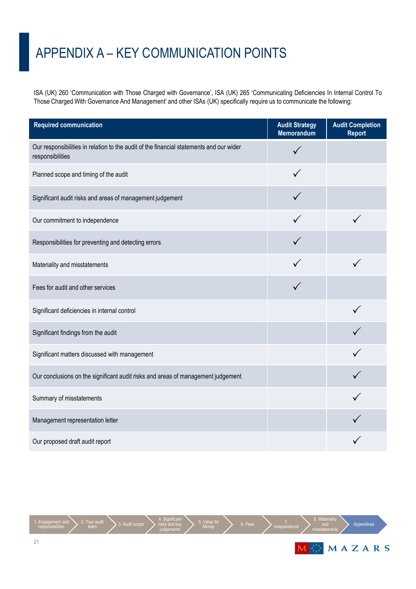## APPENDIX A – KEY COMMUNICATION POINTS

ISA (UK) 260 'Communication with Those Charged with Governance', ISA (UK) 265 'Communicating Deficiencies In Internal Control To Those Charged With Governance And Management' and other ISAs (UK) specifically require us to communicate the following:

| <b>Required communication</b>                                                                               | <b>Audit Strategy</b><br>Memorandum | <b>Audit Completion</b><br><b>Report</b> |
|-------------------------------------------------------------------------------------------------------------|-------------------------------------|------------------------------------------|
| Our responsibilities in relation to the audit of the financial statements and our wider<br>responsibilities |                                     |                                          |
| Planned scope and timing of the audit                                                                       |                                     |                                          |
| Significant audit risks and areas of management judgement                                                   |                                     |                                          |
| Our commitment to independence                                                                              |                                     |                                          |
| Responsibilities for preventing and detecting errors                                                        |                                     |                                          |
| Materiality and misstatements                                                                               |                                     |                                          |
| Fees for audit and other services                                                                           |                                     |                                          |
| Significant deficiencies in internal control                                                                |                                     |                                          |
| Significant findings from the audit                                                                         |                                     |                                          |
| Significant matters discussed with management                                                               |                                     |                                          |
| Our conclusions on the significant audit risks and areas of management judgement                            |                                     |                                          |
| Summary of misstatements                                                                                    |                                     |                                          |
| Management representation letter                                                                            |                                     |                                          |
| Our proposed draft audit report                                                                             |                                     |                                          |

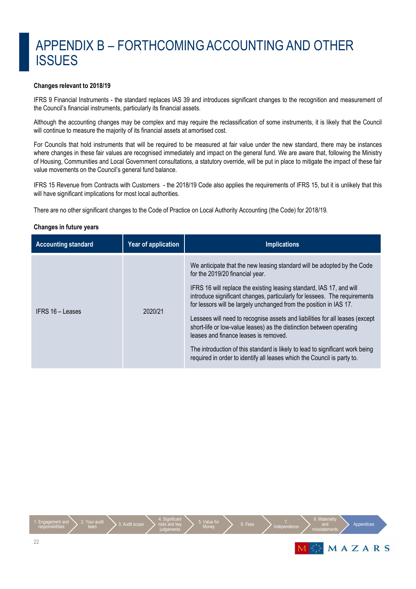### APPENDIX B – FORTHCOMING ACCOUNTING AND OTHER **ISSUES**

### **Changes relevant to 2018/19**

IFRS 9 Financial Instruments - the standard replaces IAS 39 and introduces significant changes to the recognition and measurement of the Council's financial instruments, particularly its financial assets.

Although the accounting changes may be complex and may require the reclassification of some instruments, it is likely that the Council will continue to measure the majority of its financial assets at amortised cost.

For Councils that hold instruments that will be required to be measured at fair value under the new standard, there may be instances where changes in these fair values are recognised immediately and impact on the general fund. We are aware that, following the Ministry of Housing, Communities and Local Government consultations, a statutory override, will be put in place to mitigate the impact of these fair value movements on the Council's general fund balance.

IFRS 15 Revenue from Contracts with Customers - the 2018/19 Code also applies the requirements of IFRS 15, but it is unlikely that this will have significant implications for most local authorities.

There are no other significant changes to the Code of Practice on Local Authority Accounting (the Code) for 2018/19.

#### **Changes in future years**

| <b>Accounting standard</b> | Year of application | <b>Implications</b>                                                                                                                                                                                                                                                                                                                                                                                                                                                                                                                                                                                                                                                                                |
|----------------------------|---------------------|----------------------------------------------------------------------------------------------------------------------------------------------------------------------------------------------------------------------------------------------------------------------------------------------------------------------------------------------------------------------------------------------------------------------------------------------------------------------------------------------------------------------------------------------------------------------------------------------------------------------------------------------------------------------------------------------------|
| IFRS 16 – Leases           | 2020/21             | We anticipate that the new leasing standard will be adopted by the Code<br>for the 2019/20 financial year.<br>IFRS 16 will replace the existing leasing standard, IAS 17, and will<br>introduce significant changes, particularly for lessees. The requirements<br>for lessors will be largely unchanged from the position in IAS 17.<br>Lessees will need to recognise assets and liabilities for all leases (except<br>short-life or low-value leases) as the distinction between operating<br>leases and finance leases is removed.<br>The introduction of this standard is likely to lead to significant work being<br>required in order to identify all leases which the Council is party to. |